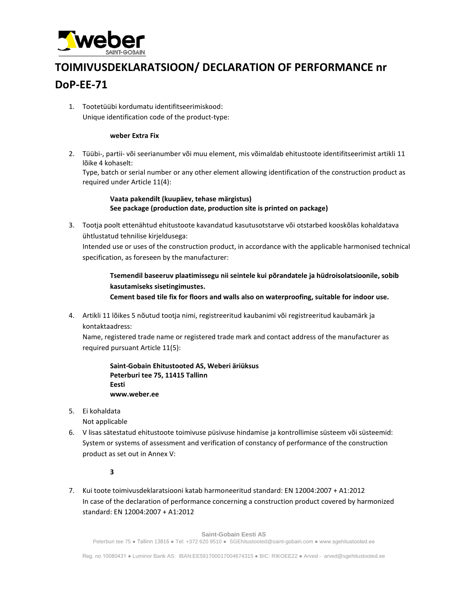

## **TOIMIVUSDEKLARATSIOON/ DECLARATION OF PERFORMANCE nr DoP-EE-71**

1. Tootetüübi kordumatu identifitseerimiskood: Unique identification code of the product-type:

## **weber Extra Fix**

2. Tüübi-, partii- või seerianumber või muu element, mis võimaldab ehitustoote identifitseerimist artikli 11 lõike 4 kohaselt:

Type, batch or serial number or any other element allowing identification of the construction product as required under Article 11(4):

**Vaata pakendilt (kuupäev, tehase märgistus) See package (production date, production site is printed on package)**

3. Tootja poolt ettenähtud ehitustoote kavandatud kasutusotstarve või otstarbed kooskõlas kohaldatava ühtlustatud tehnilise kirjeldusega:

Intended use or uses of the construction product, in accordance with the applicable harmonised technical specification, as foreseen by the manufacturer:

**Tsemendil baseeruv plaatimissegu nii seintele kui põrandatele ja hüdroisolatsioonile, sobib kasutamiseks sisetingimustes.**

**Cement based tile fix for floors and walls also on waterproofing, suitable for indoor use.** 

4. Artikli 11 lõikes 5 nõutud tootja nimi, registreeritud kaubanimi või registreeritud kaubamärk ja kontaktaadress:

Name, registered trade name or registered trade mark and contact address of the manufacturer as required pursuant Article 11(5):

**Saint-Gobain Ehitustooted AS, Weberi äriüksus Peterburi tee 75, 11415 Tallinn Eesti www.weber.ee**

5. Ei kohaldata

Not applicable

6. V lisas sätestatud ehitustoote toimivuse püsivuse hindamise ja kontrollimise süsteem või süsteemid: System or systems of assessment and verification of constancy of performance of the construction product as set out in Annex V:

## **3**

7. Kui toote toimivusdeklaratsiooni katab harmoneeritud standard: EN 12004:2007 + A1:2012 In case of the declaration of performance concerning a construction product covered by harmonized standard: EN 12004:2007 + A1:2012

**Saint-Gobain Eesti AS**  Peterburi tee 75 ● Tallinn 13816 ● Tel: +372 620 9510 ● SGEhitustooted@saint-gobain.com ● www.sgehitustooted.ee